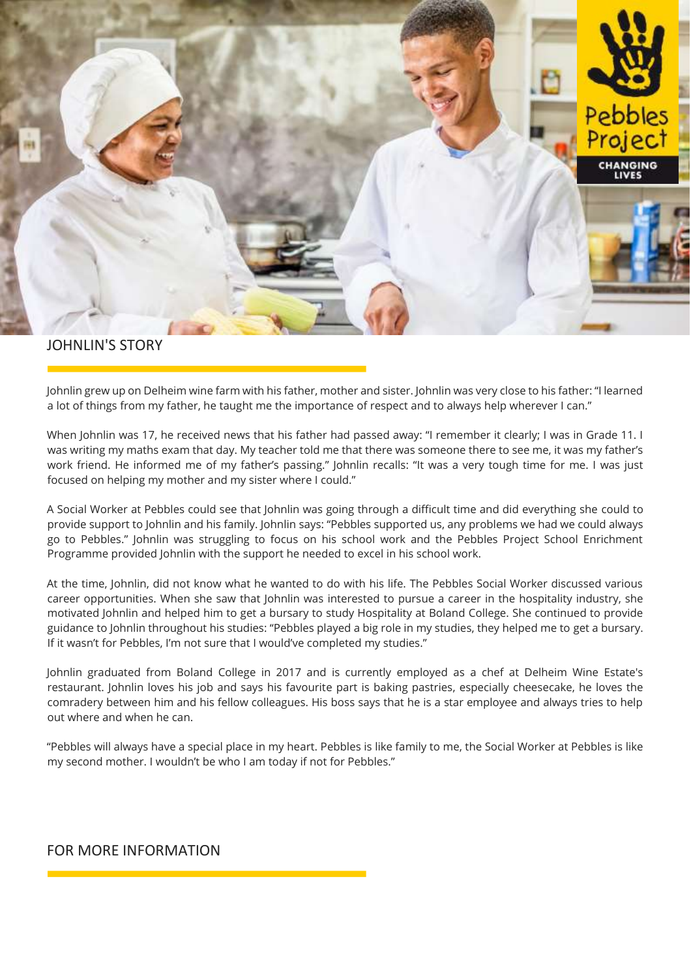

## JOHNLIN'S STORY

Johnlin grew up on Delheim wine farm with his father, mother and sister. Johnlin was very close to his father: "I learned a lot of things from my father, he taught me the importance of respect and to always help wherever I can."

When Johnlin was 17, he received news that his father had passed away: "I remember it clearly; I was in Grade 11. I was writing my maths exam that day. My teacher told me that there was someone there to see me, it was my father's work friend. He informed me of my father's passing." Johnlin recalls: "It was a very tough time for me. I was just focused on helping my mother and my sister where I could."

A Social Worker at Pebbles could see that Johnlin was going through a difficult time and did everything she could to provide support to Johnlin and his family. Johnlin says: "Pebbles supported us, any problems we had we could always go to Pebbles." Johnlin was struggling to focus on his school work and the Pebbles Project School Enrichment Programme provided Johnlin with the support he needed to excel in his school work.

At the time, Johnlin, did not know what he wanted to do with his life. The Pebbles Social Worker discussed various career opportunities. When she saw that Johnlin was interested to pursue a career in the hospitality industry, she motivated Johnlin and helped him to get a bursary to study Hospitality at Boland College. She continued to provide guidance to Johnlin throughout his studies: "Pebbles played a big role in my studies, they helped me to get a bursary. If it wasn't for Pebbles, I'm not sure that I would've completed my studies."

Johnlin graduated from Boland College in 2017 and is currently employed as a chef at Delheim Wine Estate's restaurant. Johnlin loves his job and says his favourite part is baking pastries, especially cheesecake, he loves the comradery between him and his fellow colleagues. His boss says that he is a star employee and always tries to help out where and when he can.

"Pebbles will always have a special place in my heart. Pebbles is like family to me, the Social Worker at Pebbles is like my second mother. I wouldn't be who I am today if not for Pebbles."

## FOR MORE INFORMATION